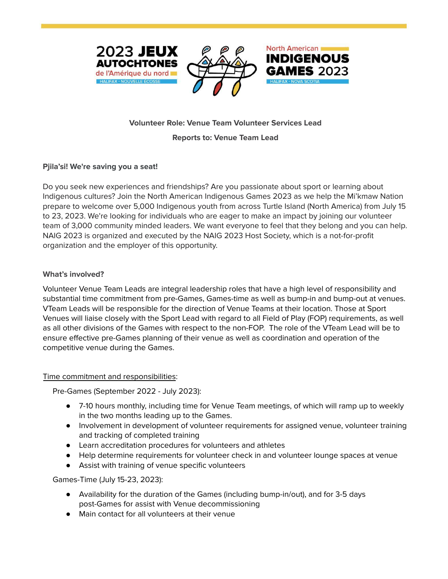





North American

**INDIGENOUS** 

# **Volunteer Role: Venue Team Volunteer Services Lead**

**Reports to: Venue Team Lead**

## **Pjila'si! We're saving you a seat!**

Do you seek new experiences and friendships? Are you passionate about sport or learning about Indigenous cultures? Join the North American Indigenous Games 2023 as we help the Mi'kmaw Nation prepare to welcome over 5,000 Indigenous youth from across Turtle Island (North America) from July 15 to 23, 2023. We're looking for individuals who are eager to make an impact by joining our volunteer team of 3,000 community minded leaders. We want everyone to feel that they belong and you can help. NAIG 2023 is organized and executed by the NAIG 2023 Host Society, which is a not-for-profit organization and the employer of this opportunity.

### **What's involved?**

Volunteer Venue Team Leads are integral leadership roles that have a high level of responsibility and substantial time commitment from pre-Games, Games-time as well as bump-in and bump-out at venues. VTeam Leads will be responsible for the direction of Venue Teams at their location. Those at Sport Venues will liaise closely with the Sport Lead with regard to all Field of Play (FOP) requirements, as well as all other divisions of the Games with respect to the non-FOP. The role of the VTeam Lead will be to ensure effective pre-Games planning of their venue as well as coordination and operation of the competitive venue during the Games.

### Time commitment and responsibilities:

Pre-Games (September 2022 - July 2023):

- 7-10 hours monthly, including time for Venue Team meetings, of which will ramp up to weekly in the two months leading up to the Games.
- Involvement in development of volunteer requirements for assigned venue, volunteer training and tracking of completed training
- Learn accreditation procedures for volunteers and athletes
- Help determine requirements for volunteer check in and volunteer lounge spaces at venue
- Assist with training of venue specific volunteers

Games-Time (July 15-23, 2023):

- Availability for the duration of the Games (including bump-in/out), and for 3-5 days post-Games for assist with Venue decommissioning
- Main contact for all volunteers at their venue